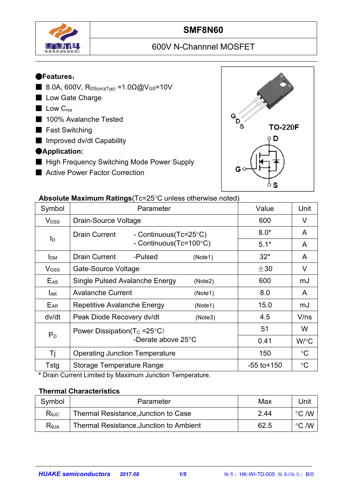

# **SMF8N60**

# 600V N-Channnel MOSFET

#### ●**Features**:

- 8.0A, 600V,  $R_{DS(on)(Type)} = 1.0Ω@V$ GS=10V
- Low Gate Charge
- Low C<sub>rss</sub>
- 100% Avalanche Tested
- Fast Switching
- Improved dv/dt Capability

### ●**Application:**

- High Frequency Switching Mode Power Supply
- Active Power Factor Correction



#### **Absolute Maximum Ratings** (Tc=25°C unless otherwise noted)

|                         | $\sim$ . The measurement is a consequence of the control increase of the control increase of the control increase of the control increase of the control increase of the control increase of the control increase of the contro |                 |                 |
|-------------------------|---------------------------------------------------------------------------------------------------------------------------------------------------------------------------------------------------------------------------------|-----------------|-----------------|
| Symbol                  | Parameter                                                                                                                                                                                                                       | Value           | Unit            |
| <b>V</b> <sub>DSS</sub> | Drain-Source Voltage                                                                                                                                                                                                            | 600             | $\vee$          |
|                         | Drain Current<br>- Continuous(Tc=25°C)                                                                                                                                                                                          | $8.0*$          | A               |
| $I_D$                   | - Continuous(Tc=100°C)                                                                                                                                                                                                          | $5.1*$          | A               |
| I <sub>DM</sub>         | <b>Drain Current</b><br>-Pulsed<br>(Note1)                                                                                                                                                                                      | $32*$           | A               |
| V <sub>GSS</sub>        | Gate-Source Voltage                                                                                                                                                                                                             | $\pm 30$        | V               |
| $E_{AS}$                | Single Pulsed Avalanche Energy<br>(Note2)                                                                                                                                                                                       | 600             | mJ              |
| <b>LAR</b>              | <b>Avalanche Current</b><br>(Note1)                                                                                                                                                                                             | 8.0             | $\mathsf{A}$    |
| EAR                     | Repetitive Avalanche Energy<br>(Note1)                                                                                                                                                                                          | 15.0            | mJ              |
| dv/dt                   | Peak Diode Recovery dv/dt<br>(Note3)                                                                                                                                                                                            | 4.5             | V/ns            |
|                         | Power Dissipation( $T_c = 25^{\circ}C$ )                                                                                                                                                                                        | 51              | W               |
| $P_D$                   | -Derate above 25°C                                                                                                                                                                                                              | 0.41            | W/°C            |
| Τj                      | <b>Operating Junction Temperature</b>                                                                                                                                                                                           | 150             | $\rm ^{\circ}C$ |
| Tstg                    | <b>Storage Temperature Range</b>                                                                                                                                                                                                | $-55$ to $+150$ | $\rm ^{\circ}C$ |

**\*** Drain Current Limited by Maximum Junction Temperature.

#### **Thermal Characteristics**

| Symbol         | Parameter                               | Max  | Unit            |  |
|----------------|-----------------------------------------|------|-----------------|--|
| $R_{\theta$ JC | Thermal Resistance, Junction to Case    | 2.44 | こ /W<br>$\circ$ |  |
| $R_{\theta$ JA | Thermal Resistance, Junction to Ambient | 62.5 | こ /W<br>$\circ$ |  |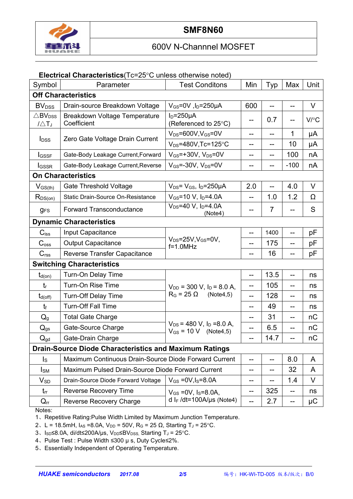

#### **Electrical Characteristics**(Tc=25°C unless otherwise noted)

| Symbol                                             | Parameter                                                     | <b>Test Conditons</b>                                        | Min   | Typ  | Max    | Unit     |  |
|----------------------------------------------------|---------------------------------------------------------------|--------------------------------------------------------------|-------|------|--------|----------|--|
|                                                    | <b>Off Characteristics</b>                                    |                                                              |       |      |        |          |  |
| <b>BV</b> <sub>DSS</sub>                           | Drain-source Breakdown Voltage                                | $V_{GS}$ =0V, l <sub>D</sub> =250µA                          | 600   |      |        | V        |  |
| $\triangle$ BV <sub>DSS</sub><br>$1/\triangle T_J$ | Breakdown Voltage Temperature<br>Coefficient                  | $I_D = 250 \mu A$<br>(Referenced to 25°C)                    | --    | 0.7  |        | V/C      |  |
| <b>I</b> <sub>DSS</sub>                            | Zero Gate Voltage Drain Current                               | $V_{DS} = 600V$ , $V_{GS} = 0V$                              | --    | --   | 1      | μA       |  |
|                                                    |                                                               | $V_{DS} = 480V$ , Tc=125°C                                   | --    | --   | 10     | μA       |  |
| <b>I</b> GSSF                                      | Gate-Body Leakage Current, Forward                            | $V_{GS}$ =+30V, $V_{DS}$ =0V                                 | --    | --   | 100    | nA       |  |
| <b>I</b> GSSR                                      | Gate-Body Leakage Current, Reverse                            | $V_{GS}$ =-30V, $V_{DS}$ =0V                                 | --    | --   | $-100$ | nA       |  |
| <b>On Characteristics</b>                          |                                                               |                                                              |       |      |        |          |  |
| $V_{GS(th)}$                                       | <b>Gate Threshold Voltage</b>                                 | $V_{DS} = V_{GS}$ , $I_D = 250 \mu A$                        | 2.0   | --   | 4.0    | $\vee$   |  |
| $R_{DS(on)}$                                       | Static Drain-Source On-Resistance                             | $V_{GS}$ =10 V, $I_D$ =4.0A                                  | $-$   | 1.0  | 1.2    | $\Omega$ |  |
| <b>gFS</b>                                         | <b>Forward Transconductance</b>                               | $V_{DS} = 40 V$ , $I_D = 4.0 A$<br>(Note4)                   |       | 7    |        | S        |  |
|                                                    | <b>Dynamic Characteristics</b>                                |                                                              |       |      |        |          |  |
| $C$ <sub>iss</sub>                                 | Input Capacitance                                             |                                                              | $-$   | 1400 |        | pF       |  |
| C <sub>oss</sub>                                   | <b>Output Capacitance</b>                                     | $V_{DS} = 25V$ , $V_{GS} = 0V$ ,<br>$f=1.0$ MHz              | --    | 175  | --     | рF       |  |
| C <sub>rss</sub>                                   | <b>Reverse Transfer Capacitance</b>                           |                                                              | --    | 16   |        | pF       |  |
|                                                    | <b>Switching Characteristics</b>                              |                                                              |       |      |        |          |  |
| $t_{d(on)}$                                        | Turn-On Delay Time                                            |                                                              | --    | 13.5 |        | ns       |  |
| $t_{\rm r}$                                        | Turn-On Rise Time                                             | $V_{DD}$ = 300 V, $I_D$ = 8.0 A,                             | $- -$ | 105  | --     | ns       |  |
| $t_{d(off)}$                                       | <b>Turn-Off Delay Time</b>                                    | $R_G = 25 \Omega$<br>(Note4,5)                               | --    | 128  | --     | ns       |  |
| $t_{\rm f}$                                        | <b>Turn-Off Fall Time</b>                                     |                                                              | --    | 49   | --     | ns       |  |
| $Q_g$                                              | <b>Total Gate Charge</b>                                      |                                                              | --    | 31   | --     | nC       |  |
| $Q_{gs}$                                           | Gate-Source Charge                                            | $V_{DS}$ = 480 V, $I_D$ =8.0 A,<br>$V_{GS} = 10 V$ (Note4,5) | --    | 6.5  |        | nC       |  |
| $Q_{gd}$                                           | Gate-Drain Charge                                             |                                                              | --    | 14.7 |        | nC       |  |
|                                                    | <b>Drain-Source Diode Characteristics and Maximum Ratings</b> |                                                              |       |      |        |          |  |
| $\mathsf{I}_\mathsf{S}$                            | Maximum Continuous Drain-Source Diode Forward Current         | --                                                           | --    | 8.0  | A      |          |  |
| $I_{SM}$                                           | Maximum Pulsed Drain-Source Diode Forward Current             | --                                                           | --    | 32   | A      |          |  |
| $V_{SD}$                                           | Drain-Source Diode Forward Voltage                            | $V_{GS} = 0V, I_S = 8.0A$                                    | --    | --   | 1.4    | $\vee$   |  |
| $t_{rr}$                                           | Reverse Recovery Time                                         | $V_{GS} = 0V$ , $I_S = 8.0A$ ,                               | --    | 325  | $- -$  | ns       |  |
| $Q_{rr}$                                           | <b>Reverse Recovery Charge</b>                                | d I <sub>F</sub> /dt=100A/µs (Note4)                         | $-$   | 2.7  | --     | μC       |  |

Notes:

1、Repetitive Rating:Pulse Width Limited by Maximum Junction Temperature.

2、L = 18.5mH, I<sub>AS</sub> = 8.0A, V<sub>DD</sub> = 50V, R<sub>G</sub> = 25 Ω, Starting T<sub>J</sub> = 25 °C.

3、Isp≤8.0A, di/dt≤200A/µs, V<sub>DD</sub>≤BV<sub>DSS,</sub> Starting T<sub>J</sub> = 25°C.

4、Pulse Test : Pulse Width ≤300 µ s, Duty Cycle≤2%.

5、Essentially Independent of Operating Temperature.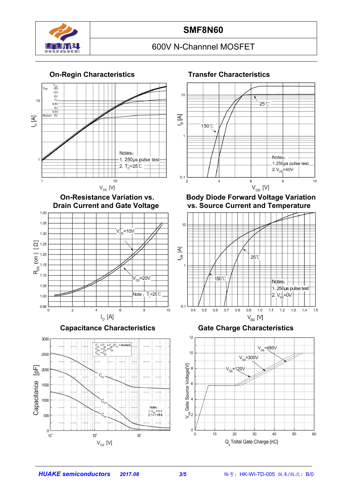







**Capacitance Characteristics Gate Charge Characteristics**





**On-Resistance Variation vs. Body Diode Forward Voltage Variation vs. Source Current and Temperature** 



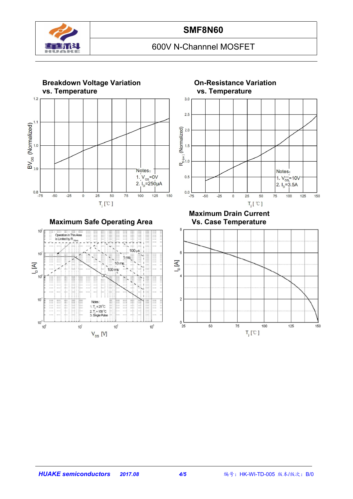